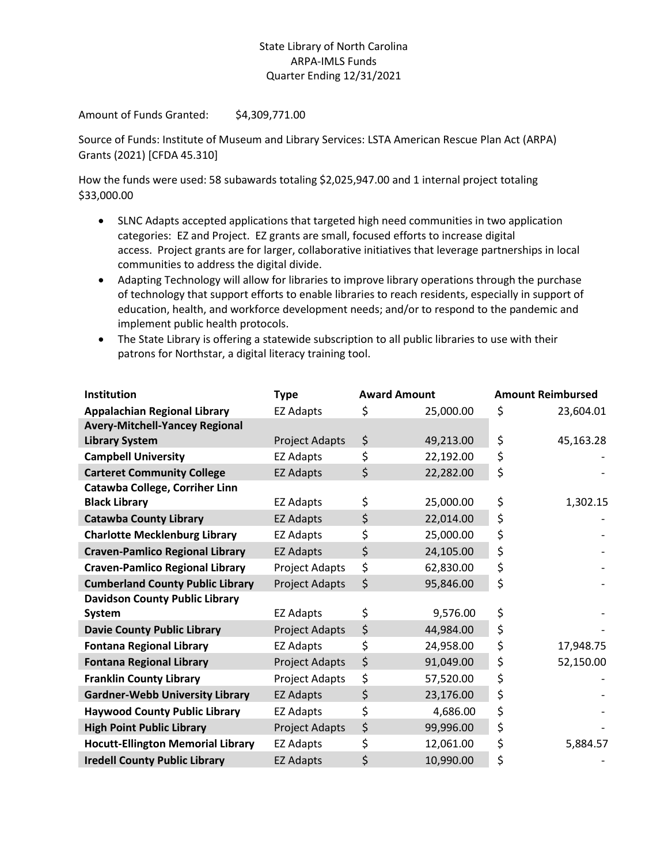## State Library of North Carolina ARPA-IMLS Funds Quarter Ending 12/31/2021

Amount of Funds Granted: \$4,309,771.00

Source of Funds: Institute of Museum and Library Services: LSTA American Rescue Plan Act (ARPA) Grants (2021) [CFDA 45.310]

How the funds were used: 58 subawards totaling \$2,025,947.00 and 1 internal project totaling \$33,000.00

- SLNC Adapts accepted applications that targeted high need communities in two application categories: EZ and Project. EZ grants are small, focused efforts to increase digital access. Project grants are for larger, collaborative initiatives that leverage partnerships in local communities to address the digital divide.
- Adapting Technology will allow for libraries to improve library operations through the purchase of technology that support efforts to enable libraries to reach residents, especially in support of education, health, and workforce development needs; and/or to respond to the pandemic and implement public health protocols.
- The State Library is offering a statewide subscription to all public libraries to use with their patrons for Northstar, a digital literacy training tool.

| Institution                              | <b>Type</b>           | <b>Award Amount</b> |           | <b>Amount Reimbursed</b> |           |
|------------------------------------------|-----------------------|---------------------|-----------|--------------------------|-----------|
| <b>Appalachian Regional Library</b>      | <b>EZ Adapts</b>      | \$                  | 25,000.00 | \$                       | 23,604.01 |
| <b>Avery-Mitchell-Yancey Regional</b>    |                       |                     |           |                          |           |
| <b>Library System</b>                    | Project Adapts        | \$                  | 49,213.00 | \$                       | 45,163.28 |
| <b>Campbell University</b>               | <b>EZ Adapts</b>      | \$                  | 22,192.00 | \$                       |           |
| <b>Carteret Community College</b>        | <b>EZ Adapts</b>      | \$                  | 22,282.00 | \$                       |           |
| Catawba College, Corriher Linn           |                       |                     |           |                          |           |
| <b>Black Library</b>                     | EZ Adapts             | \$                  | 25,000.00 | \$                       | 1,302.15  |
| <b>Catawba County Library</b>            | <b>EZ Adapts</b>      | \$                  | 22,014.00 | \$                       |           |
| <b>Charlotte Mecklenburg Library</b>     | <b>EZ Adapts</b>      | \$                  | 25,000.00 | \$                       |           |
| <b>Craven-Pamlico Regional Library</b>   | <b>EZ Adapts</b>      | \$                  | 24,105.00 | \$                       |           |
| <b>Craven-Pamlico Regional Library</b>   | Project Adapts        | \$                  | 62,830.00 | \$                       |           |
| <b>Cumberland County Public Library</b>  | Project Adapts        | \$                  | 95,846.00 | \$                       |           |
| <b>Davidson County Public Library</b>    |                       |                     |           |                          |           |
| System                                   | EZ Adapts             | \$                  | 9,576.00  | \$                       |           |
| <b>Davie County Public Library</b>       | <b>Project Adapts</b> | \$                  | 44,984.00 | \$                       |           |
| <b>Fontana Regional Library</b>          | <b>EZ Adapts</b>      | \$                  | 24,958.00 | \$                       | 17,948.75 |
| <b>Fontana Regional Library</b>          | <b>Project Adapts</b> | \$                  | 91,049.00 | \$                       | 52,150.00 |
| <b>Franklin County Library</b>           | Project Adapts        | \$                  | 57,520.00 | \$                       |           |
| <b>Gardner-Webb University Library</b>   | <b>EZ Adapts</b>      | \$                  | 23,176.00 | \$                       |           |
| <b>Haywood County Public Library</b>     | <b>EZ Adapts</b>      | \$                  | 4,686.00  | \$                       |           |
| <b>High Point Public Library</b>         | Project Adapts        | \$                  | 99,996.00 | \$                       |           |
| <b>Hocutt-Ellington Memorial Library</b> | <b>EZ Adapts</b>      | \$                  | 12,061.00 | \$                       | 5,884.57  |
| <b>Iredell County Public Library</b>     | <b>EZ Adapts</b>      | \$                  | 10,990.00 | \$                       |           |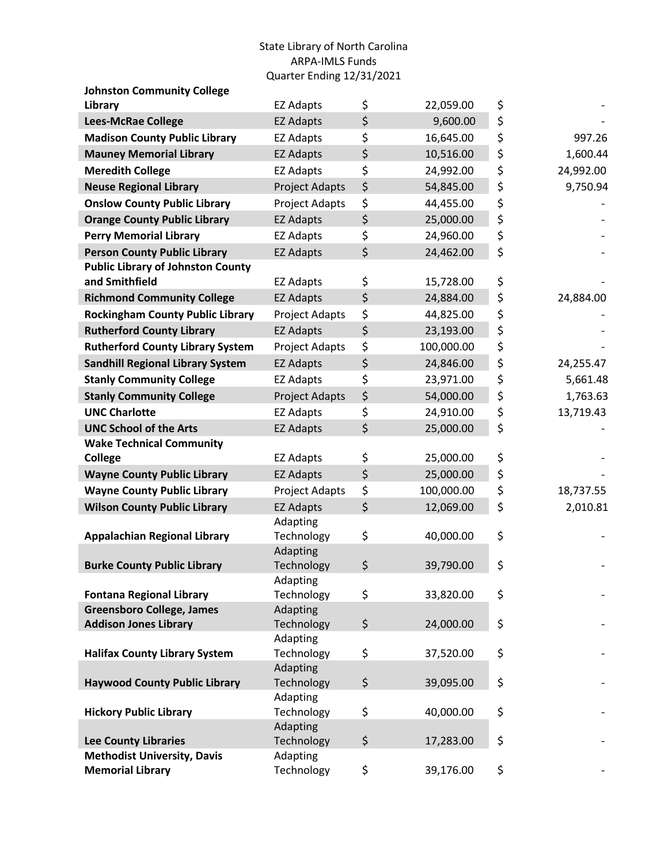## State Library of North Carolina ARPA-IMLS Funds Quarter Ending 12/31/2021

| <b>Johnston Community College</b>        |                        |                  |                 |
|------------------------------------------|------------------------|------------------|-----------------|
| Library                                  | <b>EZ Adapts</b>       | \$<br>22,059.00  | \$              |
| <b>Lees-McRae College</b>                | <b>EZ Adapts</b>       | \$<br>9,600.00   | \$              |
| <b>Madison County Public Library</b>     | <b>EZ Adapts</b>       | \$<br>16,645.00  | \$<br>997.26    |
| <b>Mauney Memorial Library</b>           | <b>EZ Adapts</b>       | \$<br>10,516.00  | \$<br>1,600.44  |
| <b>Meredith College</b>                  | <b>EZ Adapts</b>       | \$<br>24,992.00  | \$<br>24,992.00 |
| <b>Neuse Regional Library</b>            | <b>Project Adapts</b>  | \$<br>54,845.00  | \$<br>9,750.94  |
| <b>Onslow County Public Library</b>      | Project Adapts         | \$<br>44,455.00  | \$              |
| <b>Orange County Public Library</b>      | <b>EZ Adapts</b>       | \$<br>25,000.00  | \$              |
| <b>Perry Memorial Library</b>            | <b>EZ Adapts</b>       | \$<br>24,960.00  | \$              |
| <b>Person County Public Library</b>      | <b>EZ Adapts</b>       | \$<br>24,462.00  | \$              |
| <b>Public Library of Johnston County</b> |                        |                  |                 |
| and Smithfield                           | <b>EZ Adapts</b>       | \$<br>15,728.00  | \$              |
| <b>Richmond Community College</b>        | <b>EZ Adapts</b>       | \$<br>24,884.00  | \$<br>24,884.00 |
| <b>Rockingham County Public Library</b>  | Project Adapts         | \$<br>44,825.00  | \$              |
| <b>Rutherford County Library</b>         | <b>EZ Adapts</b>       | \$<br>23,193.00  | \$              |
| <b>Rutherford County Library System</b>  | Project Adapts         | \$<br>100,000.00 | \$              |
| <b>Sandhill Regional Library System</b>  | <b>EZ Adapts</b>       | \$<br>24,846.00  | \$<br>24,255.47 |
| <b>Stanly Community College</b>          | <b>EZ Adapts</b>       | \$<br>23,971.00  | \$<br>5,661.48  |
| <b>Stanly Community College</b>          | Project Adapts         | \$<br>54,000.00  | \$<br>1,763.63  |
| <b>UNC Charlotte</b>                     | <b>EZ Adapts</b>       | \$<br>24,910.00  | \$<br>13,719.43 |
| <b>UNC School of the Arts</b>            | <b>EZ Adapts</b>       | \$<br>25,000.00  | \$              |
| <b>Wake Technical Community</b>          |                        |                  |                 |
| <b>College</b>                           | <b>EZ Adapts</b>       | \$<br>25,000.00  | \$              |
| <b>Wayne County Public Library</b>       | <b>EZ Adapts</b>       | \$<br>25,000.00  | \$              |
| <b>Wayne County Public Library</b>       | Project Adapts         | \$<br>100,000.00 | \$<br>18,737.55 |
| <b>Wilson County Public Library</b>      | <b>EZ Adapts</b>       | \$<br>12,069.00  | \$<br>2,010.81  |
|                                          | Adapting               |                  |                 |
| <b>Appalachian Regional Library</b>      | Technology             | \$<br>40,000.00  | \$              |
|                                          | Adapting               |                  |                 |
| <b>Burke County Public Library</b>       | Technology<br>Adapting | \$<br>39,790.00  | \$              |
| <b>Fontana Regional Library</b>          | Technology             | \$<br>33,820.00  | \$              |
| <b>Greensboro College, James</b>         | Adapting               |                  |                 |
| <b>Addison Jones Library</b>             | Technology             | \$<br>24,000.00  | \$              |
|                                          | Adapting               |                  |                 |
| <b>Halifax County Library System</b>     | Technology             | \$<br>37,520.00  | \$              |
|                                          | Adapting               |                  |                 |
| <b>Haywood County Public Library</b>     | Technology             | \$<br>39,095.00  | \$              |
|                                          | Adapting               |                  |                 |
| <b>Hickory Public Library</b>            | Technology             | \$<br>40,000.00  | \$              |
| <b>Lee County Libraries</b>              | Adapting<br>Technology | \$<br>17,283.00  | \$              |
| <b>Methodist University, Davis</b>       | Adapting               |                  |                 |
| <b>Memorial Library</b>                  | Technology             | \$<br>39,176.00  | \$              |
|                                          |                        |                  |                 |